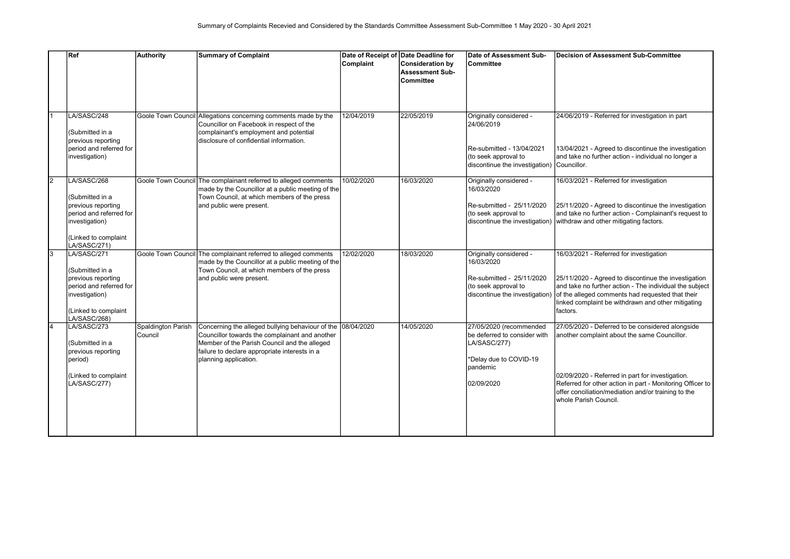|                | Ref                                                                                                                                       | Authority                     | <b>Summary of Complaint</b>                                                                                                                                                                                                             | Date of Receipt of Date Deadline for<br>Complaint | Consideration by<br><b>Assessment Sub-</b><br><b>Committee</b> | Date of Assessment Sub-<br><b>Committee</b>                                                                                              | <b>Decision of Assessment Sub-Committee</b>                                                                                                                                                                                                                                                                     |
|----------------|-------------------------------------------------------------------------------------------------------------------------------------------|-------------------------------|-----------------------------------------------------------------------------------------------------------------------------------------------------------------------------------------------------------------------------------------|---------------------------------------------------|----------------------------------------------------------------|------------------------------------------------------------------------------------------------------------------------------------------|-----------------------------------------------------------------------------------------------------------------------------------------------------------------------------------------------------------------------------------------------------------------------------------------------------------------|
|                | LA/SASC/248<br>(Submitted in a<br>previous reporting<br>period and referred for<br>investigation)                                         |                               | Goole Town Council Allegations concerning comments made by the<br>Councillor on Facebook in respect of the<br>complainant's employment and potential<br>disclosure of confidential information.                                         | 12/04/2019                                        | 22/05/2019                                                     | Originally considered -<br>24/06/2019<br>Re-submitted - 13/04/2021<br>(to seek approval to<br>discontinue the investigation) Councillor. | 24/06/2019 - Referred for investigation in part<br>13/04/2021 - Agreed to discontinue the investigation<br>and take no further action - individual no longer a                                                                                                                                                  |
| $\overline{2}$ | LA/SASC/268<br>(Submitted in a<br>previous reporting<br>period and referred for<br>investigation)<br>(Linked to complaint<br>LA/SASC/271) |                               | Goole Town Council The complainant referred to alleged comments<br>made by the Councillor at a public meeting of the<br>Town Council, at which members of the press<br>and public were present.                                         | 10/02/2020                                        | 16/03/2020                                                     | Originally considered -<br>16/03/2020<br>Re-submitted - 25/11/2020<br>(to seek approval to                                               | 16/03/2021 - Referred for investigation<br>25/11/2020 - Agreed to discontinue the investigation<br>and take no further action - Complainant's request to<br>discontinue the investigation) withdraw and other mitigating factors.                                                                               |
| $\overline{3}$ | LA/SASC/271<br>(Submitted in a<br>previous reporting<br>period and referred for<br>investigation)<br>Linked to complaint<br>LA/SASC/268)  |                               | Goole Town Council The complainant referred to alleged comments<br>made by the Councillor at a public meeting of the<br>Town Council, at which members of the press<br>and public were present.                                         | 12/02/2020                                        | 18/03/2020                                                     | Originally considered -<br>16/03/2020<br>Re-submitted - 25/11/2020<br>(to seek approval to                                               | 16/03/2021 - Referred for investigation<br>25/11/2020 - Agreed to discontinue the investigation<br>and take no further action - The individual the subject<br>discontinue the investigation) of the alleged comments had requested that their<br>linked complaint be withdrawn and other mitigating<br>factors. |
| $\overline{4}$ | LA/SASC/273<br>(Submitted in a<br>previous reporting<br>period)<br>(Linked to complaint<br>LA/SASC/277)                                   | Spaldington Parish<br>Council | Concerning the alleged bullying behaviour of the 08/04/2020<br>Councillor towards the complainant and another<br>Member of the Parish Council and the alleged<br>failure to declare appropriate interests in a<br>planning application. |                                                   | 14/05/2020                                                     | 27/05/2020 (recommended<br>be deferred to consider with<br>LA/SASC/277)<br>*Delay due to COVID-19<br>pandemic<br>02/09/2020              | 27/05/2020 - Deferred to be considered alongside<br>another complaint about the same Councillor.<br>02/09/2020 - Referred in part for investigation.<br>Referred for other action in part - Monitoring Officer to<br>offer conciliation/mediation and/or training to the<br>whole Parish Council.               |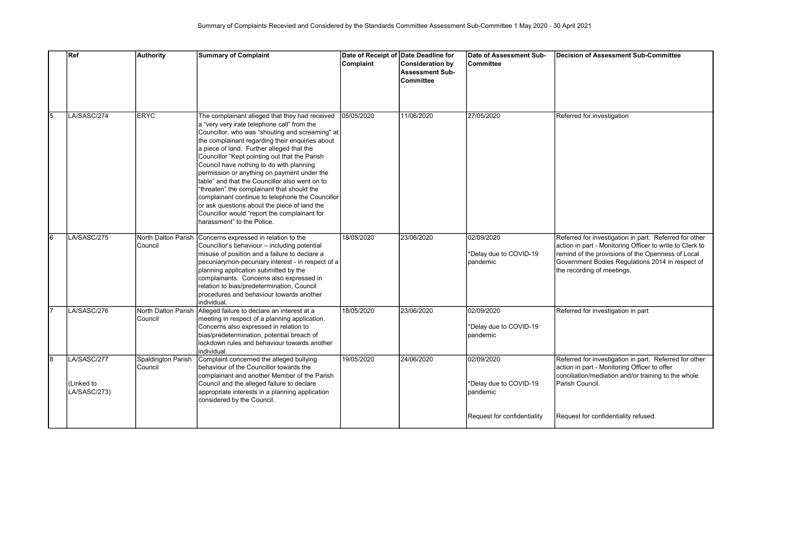|                 | Ref                                       | <b>Authority</b>               | <b>Summary of Complaint</b>                                                                                                                                                                                                                                                                                                                                                                                                                                                                                                                                                                                                                                                    | Date of Receipt of Date Deadline for<br>Complaint | Consideration by<br><b>Assessment Sub-</b><br><b>Committee</b> | Date of Assessment Sub-<br><b>Committee</b>      | <b>Decision of Assessment Sub-Committee</b>                                                                                                                                                                                                               |
|-----------------|-------------------------------------------|--------------------------------|--------------------------------------------------------------------------------------------------------------------------------------------------------------------------------------------------------------------------------------------------------------------------------------------------------------------------------------------------------------------------------------------------------------------------------------------------------------------------------------------------------------------------------------------------------------------------------------------------------------------------------------------------------------------------------|---------------------------------------------------|----------------------------------------------------------------|--------------------------------------------------|-----------------------------------------------------------------------------------------------------------------------------------------------------------------------------------------------------------------------------------------------------------|
| $\overline{5}$  | LA/SASC/274                               | <b>ERYC</b>                    | The complainant alleged that they had received<br>a "very very irate telephone call" from the<br>Councillor, who was "shouting and screaming" at<br>the complainant regarding their enquiries about<br>a piece of land. Further alleged that the<br>Councillor "Kept pointing out that the Parish<br>Council have nothing to do with planning<br>permission or anything on payment under the<br>table" and that the Councillor also went on to<br>"threaten" the complainant that should the<br>complainant continue to telephone the Councillor<br>or ask questions about the piece of land the<br>Councillor would "report the complainant for<br>harassment" to the Police. | 05/05/2020                                        | 11/06/2020                                                     | 27/05/2020                                       | Referred for investigation                                                                                                                                                                                                                                |
| $6\overline{6}$ | LA/SASC/275                               | North Dalton Parish<br>Council | Concerns expressed in relation to the<br>Councillor's behaviour - including potential<br>misuse of position and a failure to declare a<br>pecuniary/non-pecuniary interest - in respect of a<br>planning application submitted by the<br>complainants. Concerns also expressed in<br>relation to bias/predetermination, Council<br>procedures and behaviour towards another<br>individual.                                                                                                                                                                                                                                                                                     | 18/05/2020                                        | 23/06/2020                                                     | 02/09/2020<br>*Delay due to COVID-19<br>pandemic | Referred for investigation in part. Referred for other<br>action in part - Monitoring Officer to write to Clerk to<br>remind of the provisions of the Openness of Local<br>Government Bodies Regulations 2014 in respect of<br>the recording of meetings. |
| 17              | LA/SASC/276                               | North Dalton Parish<br>Council | Alleged failure to declare an interest at a<br>meeting in respect of a planning application.<br>Concerns also expressed in relation to<br>bias/predetermination, potential breach of<br>lockdown rules and behaviour towards another<br>individual.                                                                                                                                                                                                                                                                                                                                                                                                                            | 18/05/2020                                        | 23/06/2020                                                     | 02/09/2020<br>*Delay due to COVID-19<br>pandemic | Referred for investigation in part                                                                                                                                                                                                                        |
| $\overline{8}$  | LA/SASC/277<br>(Linked to<br>LA/SASC/273) | Spaldington Parish<br>Council  | Complaint concerned the alleged bullying<br>behaviour of the Councillor towards the<br>complainant and another Member of the Parish<br>Council and the alleged failure to declare<br>appropriate interests in a planning application<br>considered by the Council.                                                                                                                                                                                                                                                                                                                                                                                                             | 19/05/2020                                        | 24/06/2020                                                     | 02/09/2020<br>*Delay due to COVID-19<br>pandemic | Referred for investigation in part. Referred for other<br>action in part - Monitoring Officer to offer<br>conciliation/mediation and/or training to the whole<br>Parish Council.                                                                          |
|                 |                                           |                                |                                                                                                                                                                                                                                                                                                                                                                                                                                                                                                                                                                                                                                                                                |                                                   |                                                                | Request for confidentiality                      | Request for confidentiality refused.                                                                                                                                                                                                                      |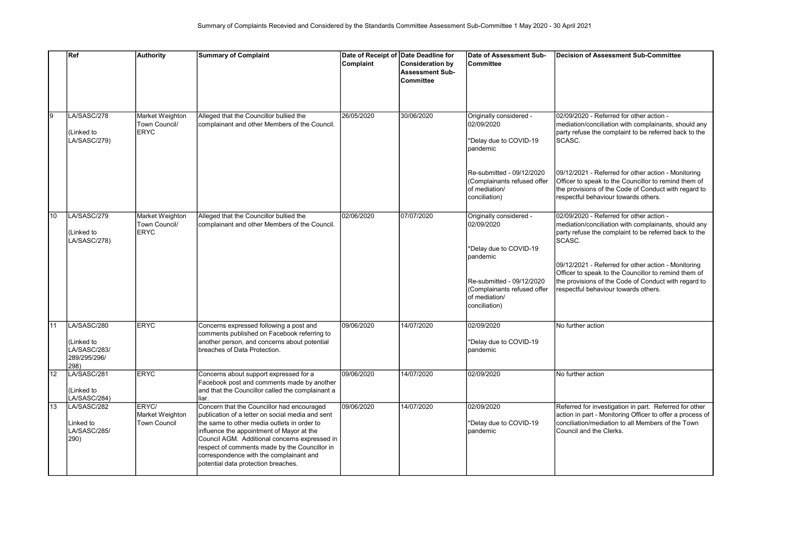|    | Ref                                                               | <b>Authority</b>                                | <b>Summary of Complaint</b>                                                                                                                                                                                                                                                                                                                                                    |            | Date of Receipt of Date Deadline for                           | Date of Assessment Sub-                                                                                                                                                   | Decision of Assessment Sub-Committee                                                                                                                                                                                                                                                                                                                                               |
|----|-------------------------------------------------------------------|-------------------------------------------------|--------------------------------------------------------------------------------------------------------------------------------------------------------------------------------------------------------------------------------------------------------------------------------------------------------------------------------------------------------------------------------|------------|----------------------------------------------------------------|---------------------------------------------------------------------------------------------------------------------------------------------------------------------------|------------------------------------------------------------------------------------------------------------------------------------------------------------------------------------------------------------------------------------------------------------------------------------------------------------------------------------------------------------------------------------|
|    |                                                                   |                                                 |                                                                                                                                                                                                                                                                                                                                                                                | Complaint  | Consideration by<br><b>Assessment Sub-</b><br><b>Committee</b> | <b>Committee</b>                                                                                                                                                          |                                                                                                                                                                                                                                                                                                                                                                                    |
| 9  | LA/SASC/278<br>(Linked to<br>LA/SASC/279)                         | Market Weighton<br>Town Council/<br><b>ERYC</b> | Alleged that the Councillor bullied the<br>complainant and other Members of the Council.                                                                                                                                                                                                                                                                                       | 26/05/2020 | 30/06/2020                                                     | Originally considered -<br>02/09/2020<br>*Delay due to COVID-19<br>pandemic<br>Re-submitted - 09/12/2020<br>(Complainants refused offer<br>of mediation/<br>conciliation) | 02/09/2020 - Referred for other action -<br>mediation/conciliation with complainants, should any<br>party refuse the complaint to be referred back to the<br>SCASC.<br>09/12/2021 - Referred for other action - Monitoring<br>Officer to speak to the Councillor to remind them of<br>the provisions of the Code of Conduct with regard to<br>respectful behaviour towards others. |
| 10 | LA/SASC/279<br>(Linked to<br>LA/SASC/278)                         | Market Weighton<br>Town Council/<br><b>ERYC</b> | Alleged that the Councillor bullied the<br>complainant and other Members of the Council.                                                                                                                                                                                                                                                                                       | 02/06/2020 | 07/07/2020                                                     | Originally considered -<br>02/09/2020<br>*Delay due to COVID-19<br>pandemic<br>Re-submitted - 09/12/2020<br>(Complainants refused offer<br>of mediation/<br>conciliation) | 02/09/2020 - Referred for other action -<br>mediation/conciliation with complainants, should any<br>party refuse the complaint to be referred back to the<br>SCASC.<br>09/12/2021 - Referred for other action - Monitoring<br>Officer to speak to the Councillor to remind them of<br>the provisions of the Code of Conduct with regard to<br>respectful behaviour towards others. |
| 11 | LA/SASC/280<br>(Linked to<br>LA/SASC/283/<br>289/295/296/<br>298) | <b>ERYC</b>                                     | Concerns expressed following a post and<br>comments published on Facebook referring to<br>another person, and concerns about potential<br>breaches of Data Protection.                                                                                                                                                                                                         | 09/06/2020 | 14/07/2020                                                     | 02/09/2020<br>*Delay due to COVID-19<br>pandemic                                                                                                                          | No further action                                                                                                                                                                                                                                                                                                                                                                  |
| 12 | LA/SASC/281<br>(Linked to<br>LA/SASC/284)                         | <b>ERYC</b>                                     | Concerns about support expressed for a<br>Facebook post and comments made by another<br>and that the Councillor called the complainant a<br>liar.                                                                                                                                                                                                                              | 09/06/2020 | 14/07/2020                                                     | 02/09/2020                                                                                                                                                                | No further action                                                                                                                                                                                                                                                                                                                                                                  |
| 13 | LA/SASC/282<br>Linked to<br>LA/SASC/285/<br>290)                  | ERYC/<br>Market Weighton<br>Town Council        | Concern that the Councillor had encouraged<br>publication of a letter on social media and sent<br>the same to other media outlets in order to<br>influence the appointment of Mayor at the<br>Council AGM. Additional concerns expressed in<br>respect of comments made by the Councillor in<br>correspondence with the complainant and<br>potential data protection breaches. | 09/06/2020 | 14/07/2020                                                     | 02/09/2020<br>*Delay due to COVID-19<br>pandemic                                                                                                                          | Referred for investigation in part. Referred for other<br>action in part - Monitoring Officer to offer a process of<br>conciliation/mediation to all Members of the Town<br>Council and the Clerks.                                                                                                                                                                                |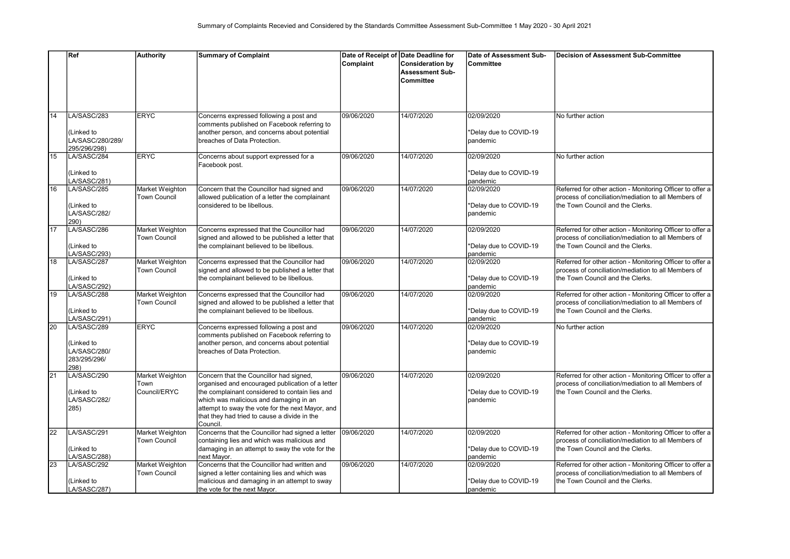|    | Ref                                                              | <b>Authority</b>                        | <b>Summary of Complaint</b>                                                                                                                                                                                                                                                                             | Date of Receipt of Date Deadline for |                                                                | Date of Assessment Sub-                          | Decision of Assessment Sub-Committee                                                                                                                   |
|----|------------------------------------------------------------------|-----------------------------------------|---------------------------------------------------------------------------------------------------------------------------------------------------------------------------------------------------------------------------------------------------------------------------------------------------------|--------------------------------------|----------------------------------------------------------------|--------------------------------------------------|--------------------------------------------------------------------------------------------------------------------------------------------------------|
|    |                                                                  |                                         |                                                                                                                                                                                                                                                                                                         | Complaint                            | <b>Consideration by</b><br><b>Assessment Sub-</b><br>Committee | Committee                                        |                                                                                                                                                        |
| 14 | LA/SASC/283<br>(Linked to<br>LA/SASC/280/289/                    | <b>ERYC</b>                             | Concerns expressed following a post and<br>comments published on Facebook referring to<br>another person, and concerns about potential<br>Ibreaches of Data Protection.                                                                                                                                 | 09/06/2020                           | 14/07/2020                                                     | 02/09/2020<br>*Delay due to COVID-19<br>pandemic | No further action                                                                                                                                      |
| 15 | 295/296/298)<br>LA/SASC/284                                      | <b>ERYC</b>                             | Concerns about support expressed for a<br>Facebook post.                                                                                                                                                                                                                                                | 09/06/2020                           | 14/07/2020                                                     | 02/09/2020                                       | No further action                                                                                                                                      |
|    | (Linked to<br>LA/SASC/281)                                       |                                         |                                                                                                                                                                                                                                                                                                         |                                      |                                                                | *Delay due to COVID-19<br>pandemic               |                                                                                                                                                        |
| 16 | LA/SASC/285<br>(Linked to<br>LA/SASC/282/<br>290)                | Market Weighton<br><b>Town Council</b>  | Concern that the Councillor had signed and<br>allowed publication of a letter the complainant<br>considered to be libellous.                                                                                                                                                                            | 09/06/2020                           | 14/07/2020                                                     | 02/09/2020<br>*Delay due to COVID-19<br>pandemic | Referred for other action - Monitoring Officer to offer a<br>process of conciliation/mediation to all Members of<br>Ithe Town Council and the Clerks.  |
| 17 | LA/SASC/286<br>(Linked to<br>LA/SASC/293)                        | Market Weighton<br>Town Council         | Concerns expressed that the Councillor had<br>signed and allowed to be published a letter that<br>the complainant believed to be libellous.                                                                                                                                                             | 09/06/2020                           | 14/07/2020                                                     | 02/09/2020<br>*Delay due to COVID-19<br>pandemic | Referred for other action - Monitoring Officer to offer a<br>process of conciliation/mediation to all Members of<br>the Town Council and the Clerks.   |
| 18 | LA/SASC/287<br>Linked to<br>LA/SASC/292)                         | Market Weighton<br>Town Council         | Concerns expressed that the Councillor had<br>signed and allowed to be published a letter that<br>the complainant believed to be libellous.                                                                                                                                                             | 09/06/2020                           | 14/07/2020                                                     | 02/09/2020<br>*Delay due to COVID-19<br>pandemic | Referred for other action - Monitoring Officer to offer a<br>process of conciliation/mediation to all Members of<br>the Town Council and the Clerks.   |
| 19 | LA/SASC/288<br>(Linked to<br>LA/SASC/291)                        | Market Weighton<br>Town Council         | Concerns expressed that the Councillor had<br>signed and allowed to be published a letter that<br>the complainant believed to be libellous.                                                                                                                                                             | 09/06/2020                           | 14/07/2020                                                     | 02/09/2020<br>*Delay due to COVID-19<br>pandemic | Referred for other action - Monitoring Officer to offer a<br>process of conciliation/mediation to all Members of<br>the Town Council and the Clerks.   |
| 20 | LA/SASC/289<br>Linked to<br>LA/SASC/280/<br>283/295/296/<br>298) | <b>ERYC</b>                             | Concerns expressed following a post and<br>comments published on Facebook referring to<br>another person, and concerns about potential<br>breaches of Data Protection.                                                                                                                                  | 09/06/2020                           | 14/07/2020                                                     | 02/09/2020<br>*Delay due to COVID-19<br>pandemic | No further action                                                                                                                                      |
| 21 | LA/SASC/290<br>(Linked to<br>LA/SASC/282/<br>285)                | Market Weighton<br>Town<br>Council/ERYC | Concern that the Councillor had signed,<br>organised and encouraged publication of a letter<br>the complainant considered to contain lies and<br>which was malicious and damaging in an<br>attempt to sway the vote for the next Mayor, and<br>that they had tried to cause a divide in the<br>Council. | 09/06/2020                           | 14/07/2020                                                     | 02/09/2020<br>*Delay due to COVID-19<br>pandemic | Referred for other action - Monitoring Officer to offer a<br>Iprocess of conciliation/mediation to all Members of<br>Ithe Town Council and the Clerks. |
| 22 | LA/SASC/291<br>(Linked to<br>LA/SASC/288)                        | Market Weighton<br><b>Town Council</b>  | Concerns that the Councillor had signed a letter<br>containing lies and which was malicious and<br>damaging in an attempt to sway the vote for the<br>next Mavor.                                                                                                                                       | 09/06/2020                           | 14/07/2020                                                     | 02/09/2020<br>*Delay due to COVID-19<br>pandemic | Referred for other action - Monitoring Officer to offer a<br>process of conciliation/mediation to all Members of<br>the Town Council and the Clerks.   |
| 23 | LA/SASC/292<br>(Linked to<br>LA/SASC/287)                        | Market Weighton<br><b>Town Council</b>  | Concerns that the Councillor had written and<br>signed a letter containing lies and which was<br>malicious and damaging in an attempt to sway<br>the vote for the next Mayor.                                                                                                                           | 09/06/2020                           | 14/07/2020                                                     | 02/09/2020<br>*Delay due to COVID-19<br>pandemic | Referred for other action - Monitoring Officer to offer a<br>process of conciliation/mediation to all Members of<br>Ithe Town Council and the Clerks.  |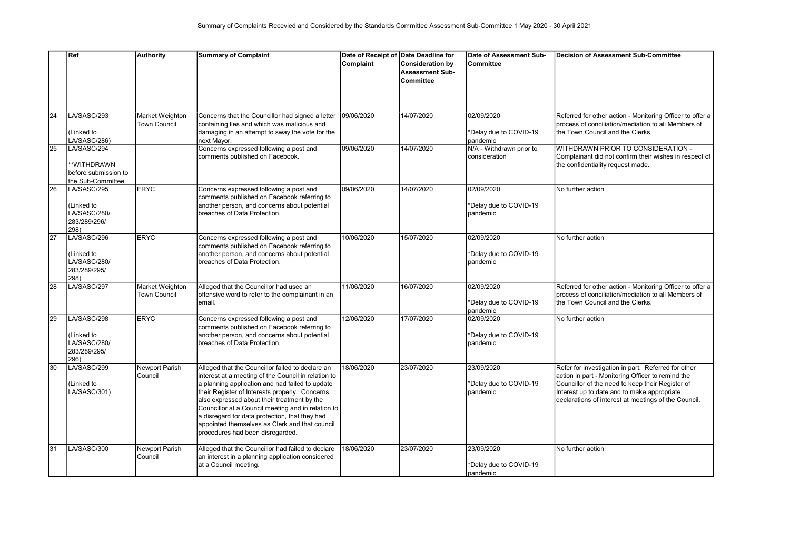|    | Ref                                                                     | <b>Authority</b>                       | <b>Summary of Complaint</b>                                                                                                                                                                                                                                                                                                                                                                                                                               | Date of Receipt of Date Deadline for |                                                                       | Date of Assessment Sub-                          | <b>Decision of Assessment Sub-Committee</b>                                                                                                                                                                                                                         |
|----|-------------------------------------------------------------------------|----------------------------------------|-----------------------------------------------------------------------------------------------------------------------------------------------------------------------------------------------------------------------------------------------------------------------------------------------------------------------------------------------------------------------------------------------------------------------------------------------------------|--------------------------------------|-----------------------------------------------------------------------|--------------------------------------------------|---------------------------------------------------------------------------------------------------------------------------------------------------------------------------------------------------------------------------------------------------------------------|
|    |                                                                         |                                        |                                                                                                                                                                                                                                                                                                                                                                                                                                                           | Complaint                            | <b>Consideration by</b><br><b>Assessment Sub-</b><br><b>Committee</b> | Committee                                        |                                                                                                                                                                                                                                                                     |
| 24 | LA/SASC/293<br>(Linked to<br>LA/SASC/286)                               | Market Weighton<br><b>Town Council</b> | Concerns that the Councillor had signed a letter<br>containing lies and which was malicious and<br>damaging in an attempt to sway the vote for the<br>next Mayor.                                                                                                                                                                                                                                                                                         | 09/06/2020                           | 14/07/2020                                                            | 02/09/2020<br>*Delay due to COVID-19<br>pandemic | Referred for other action - Monitoring Officer to offer a<br>process of conciliation/mediation to all Members of<br>the Town Council and the Clerks.                                                                                                                |
| 25 | LA/SASC/294<br>**WITHDRAWN<br>before submission to<br>the Sub-Committee |                                        | Concerns expressed following a post and<br>comments published on Facebook.                                                                                                                                                                                                                                                                                                                                                                                | 09/06/2020                           | 14/07/2020                                                            | N/A - Withdrawn prior to<br>consideration        | WITHDRAWN PRIOR TO CONSIDERATION -<br>Complainant did not confirm their wishes in respect of<br>the confidentiality request made.                                                                                                                                   |
| 26 | LA/SASC/295<br>(Linked to<br>LA/SASC/280/<br>283/289/296/<br>298)       | <b>ERYC</b>                            | Concerns expressed following a post and<br>comments published on Facebook referring to<br>another person, and concerns about potential<br>breaches of Data Protection.                                                                                                                                                                                                                                                                                    | 09/06/2020                           | 14/07/2020                                                            | 02/09/2020<br>*Delay due to COVID-19<br>pandemic | No further action                                                                                                                                                                                                                                                   |
| 27 | LA/SASC/296<br>(Linked to<br>LA/SASC/280/<br>283/289/295/<br>298)       | <b>ERYC</b>                            | Concerns expressed following a post and<br>comments published on Facebook referring to<br>another person, and concerns about potential<br>breaches of Data Protection.                                                                                                                                                                                                                                                                                    | 10/06/2020                           | 15/07/2020                                                            | 02/09/2020<br>*Delay due to COVID-19<br>pandemic | No further action                                                                                                                                                                                                                                                   |
| 28 | LA/SASC/297                                                             | Market Weighton<br><b>Town Council</b> | Alleged that the Councillor had used an<br>offensive word to refer to the complainant in an<br>email.                                                                                                                                                                                                                                                                                                                                                     | 11/06/2020                           | 16/07/2020                                                            | 02/09/2020<br>*Delay due to COVID-19<br>pandemic | Referred for other action - Monitoring Officer to offer a<br>process of conciliation/mediation to all Members of<br>the Town Council and the Clerks.                                                                                                                |
| 29 | LA/SASC/298<br>(Linked to<br>LA/SASC/280/<br>283/289/295/<br>296)       | <b>ERYC</b>                            | Concerns expressed following a post and<br>comments published on Facebook referring to<br>another person, and concerns about potential<br>breaches of Data Protection.                                                                                                                                                                                                                                                                                    | 12/06/2020                           | 17/07/2020                                                            | 02/09/2020<br>*Delay due to COVID-19<br>pandemic | No further action                                                                                                                                                                                                                                                   |
| 30 | LA/SASC/299<br>(Linked to<br>LA/SASC/301)                               | Newport Parish<br>Council              | Alleged that the Councillor failed to declare an<br>interest at a meeting of the Council in relation to<br>a planning application and had failed to update<br>their Register of Interests properly. Concerns<br>also expressed about their treatment by the<br>Councillor at a Council meeting and in relation to<br>a disregard for data protection, that they had<br>appointed themselves as Clerk and that council<br>procedures had been disregarded. | 18/06/2020                           | 23/07/2020                                                            | 23/09/2020<br>*Delay due to COVID-19<br>pandemic | Refer for investigation in part. Referred for other<br>action in part - Monitoring Officer to remind the<br>Councillor of the need to keep their Register of<br>Interest up to date and to make appropriate<br>declarations of interest at meetings of the Council. |
| 31 | LA/SASC/300                                                             | <b>Newport Parish</b><br>Council       | Alleged that the Councillor had failed to declare<br>an interest in a planning application considered<br>at a Council meeting.                                                                                                                                                                                                                                                                                                                            | 18/06/2020                           | 23/07/2020                                                            | 23/09/2020<br>*Delay due to COVID-19<br>pandemic | No further action                                                                                                                                                                                                                                                   |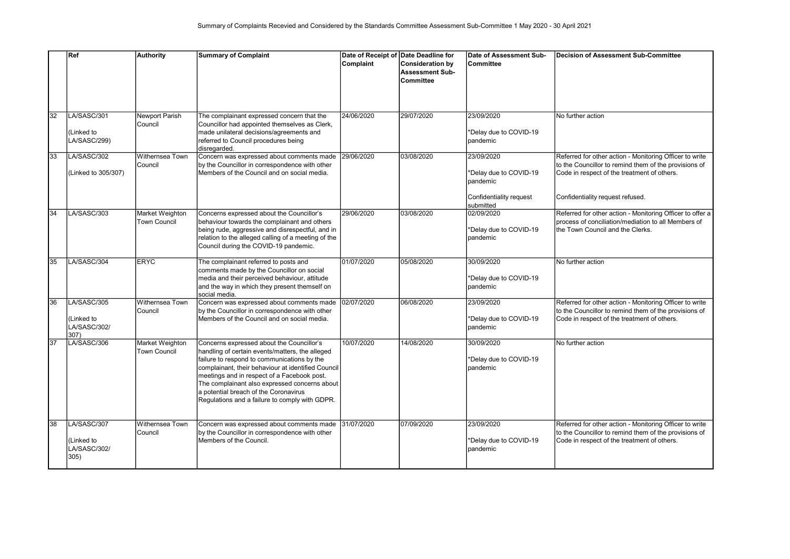|    | Ref                                               | <b>Authority</b>                 | <b>Summary of Complaint</b>                                                                                                                                                                                                                                                                                                                                                                  | Date of Receipt of Date Deadline for<br>Complaint | <b>Consideration by</b><br><b>Assessment Sub-</b><br><b>Committee</b> | Date of Assessment Sub-<br>Committee                                                     | Decision of Assessment Sub-Committee                                                                                                                                                                |
|----|---------------------------------------------------|----------------------------------|----------------------------------------------------------------------------------------------------------------------------------------------------------------------------------------------------------------------------------------------------------------------------------------------------------------------------------------------------------------------------------------------|---------------------------------------------------|-----------------------------------------------------------------------|------------------------------------------------------------------------------------------|-----------------------------------------------------------------------------------------------------------------------------------------------------------------------------------------------------|
| 32 | LA/SASC/301<br>(Linked to<br>LA/SASC/299)         | Newport Parish<br><b>Council</b> | The complainant expressed concern that the<br>Councillor had appointed themselves as Clerk,<br>made unilateral decisions/agreements and<br>referred to Council procedures being<br>disregarded.                                                                                                                                                                                              | 24/06/2020                                        | 29/07/2020                                                            | 23/09/2020<br>*Delay due to COVID-19<br>pandemic                                         | No further action                                                                                                                                                                                   |
| 33 | LA/SASC/302<br>(Linked to 305/307)                | Withernsea Town<br>Council       | Concern was expressed about comments made<br>by the Councillor in correspondence with other<br>Members of the Council and on social media.                                                                                                                                                                                                                                                   | 29/06/2020                                        | 03/08/2020                                                            | 23/09/2020<br>*Delay due to COVID-19<br>pandemic<br>Confidentiality request<br>submitted | Referred for other action - Monitoring Officer to write<br>to the Councillor to remind them of the provisions of<br>Code in respect of the treatment of others.<br>Confidentiality request refused. |
| 34 | LA/SASC/303                                       | Market Weighton<br>Town Council  | Concerns expressed about the Councillor's<br>behaviour towards the complainant and others<br>being rude, aggressive and disrespectful, and in<br>relation to the alleged calling of a meeting of the<br>Council during the COVID-19 pandemic.                                                                                                                                                | 29/06/2020                                        | 03/08/2020                                                            | 02/09/2020<br>*Delay due to COVID-19<br>pandemic                                         | Referred for other action - Monitoring Officer to offer a<br>process of conciliation/mediation to all Members of<br>the Town Council and the Clerks.                                                |
| 35 | LA/SASC/304                                       | <b>ERYC</b>                      | The complainant referred to posts and<br>comments made by the Councillor on social<br>media and their perceived behaviour, attitude<br>and the way in which they present themself on<br>social media.                                                                                                                                                                                        | 01/07/2020                                        | 05/08/2020                                                            | 30/09/2020<br>*Delay due to COVID-19<br>pandemic                                         | No further action                                                                                                                                                                                   |
| 36 | LA/SASC/305<br>(Linked to<br>LA/SASC/302/<br>307) | Withernsea Town<br>Council       | Concern was expressed about comments made<br>by the Councillor in correspondence with other<br>Members of the Council and on social media.                                                                                                                                                                                                                                                   | 02/07/2020                                        | 06/08/2020                                                            | 23/09/2020<br>*Delay due to COVID-19<br>pandemic                                         | Referred for other action - Monitoring Officer to write<br>to the Councillor to remind them of the provisions of<br>Code in respect of the treatment of others.                                     |
| 37 | LA/SASC/306                                       | Market Weighton<br>Town Council  | Concerns expressed about the Councillor's<br>handling of certain events/matters, the alleged<br>failure to respond to communications by the<br>complainant, their behaviour at identified Council<br>meetings and in respect of a Facebook post.<br>The complainant also expressed concerns about<br>a potential breach of the Coronavirus<br>Regulations and a failure to comply with GDPR. | 10/07/2020                                        | 14/08/2020                                                            | 30/09/2020<br>*Delay due to COVID-19<br>pandemic                                         | No further action                                                                                                                                                                                   |
| 38 | LA/SASC/307<br>(Linked to<br>LA/SASC/302/<br>305) | Withernsea Town<br>Council       | Concern was expressed about comments made<br>by the Councillor in correspondence with other<br>Members of the Council.                                                                                                                                                                                                                                                                       | 31/07/2020                                        | 07/09/2020                                                            | 23/09/2020<br>*Delay due to COVID-19<br>pandemic                                         | Referred for other action - Monitoring Officer to write<br>to the Councillor to remind them of the provisions of<br>Code in respect of the treatment of others.                                     |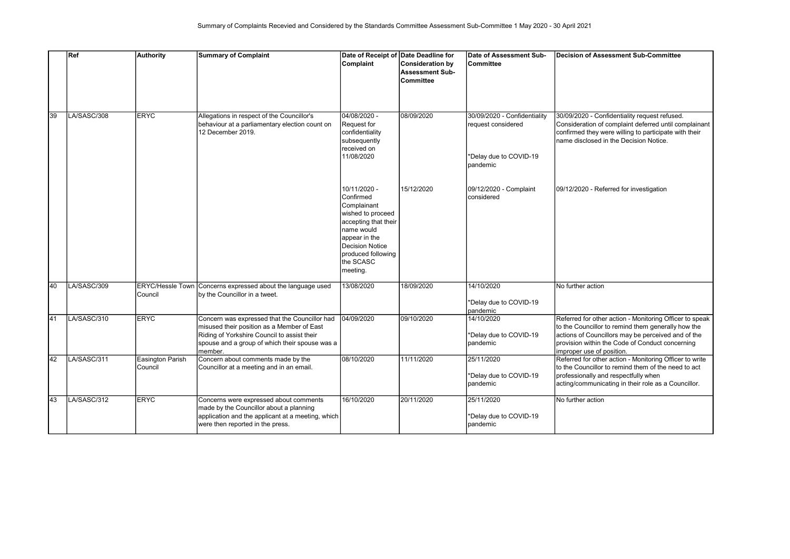|                 | Ref         | Authority                          | <b>Summary of Complaint</b>                                                                                                                                                                             | Date of Receipt of Date Deadline for<br>Complaint                                                                                                                                             | <b>Consideration by</b><br><b>Assessment Sub-</b><br><b>Committee</b> | Date of Assessment Sub-<br><b>Committee</b>                                              | Decision of Assessment Sub-Committee                                                                                                                                                                                                                |
|-----------------|-------------|------------------------------------|---------------------------------------------------------------------------------------------------------------------------------------------------------------------------------------------------------|-----------------------------------------------------------------------------------------------------------------------------------------------------------------------------------------------|-----------------------------------------------------------------------|------------------------------------------------------------------------------------------|-----------------------------------------------------------------------------------------------------------------------------------------------------------------------------------------------------------------------------------------------------|
| 39              | LA/SASC/308 | <b>ERYC</b>                        | Allegations in respect of the Councillor's<br>behaviour at a parliamentary election count on<br>12 December 2019.                                                                                       | 04/08/2020 -<br>Request for<br>confidentiality<br>subsequently<br>received on<br>11/08/2020                                                                                                   | 08/09/2020                                                            | 30/09/2020 - Confidentiality<br>request considered<br>*Delay due to COVID-19<br>pandemic | 30/09/2020 - Confidentiality request refused.<br>Consideration of complaint deferred until complainant<br>confirmed they were willing to participate with their<br>name disclosed in the Decision Notice.                                           |
|                 |             |                                    |                                                                                                                                                                                                         | 10/11/2020 -<br>Confirmed<br>Complainant<br>wished to proceed<br>accepting that their<br>name would<br>appear in the<br><b>Decision Notice</b><br>produced following<br>the SCASC<br>meeting. | 15/12/2020                                                            | 09/12/2020 - Complaint<br>considered                                                     | 09/12/2020 - Referred for investigation                                                                                                                                                                                                             |
| 40              | LA/SASC/309 | <b>ERYC/Hessle Town</b><br>Council | Concerns expressed about the language used<br>by the Councillor in a tweet.                                                                                                                             | 13/08/2020                                                                                                                                                                                    | 18/09/2020                                                            | 14/10/2020<br>*Delay due to COVID-19<br>pandemic                                         | No further action                                                                                                                                                                                                                                   |
| 41              | LA/SASC/310 | <b>IERYC</b>                       | Concern was expressed that the Councillor had<br>misused their position as a Member of East<br>Riding of Yorkshire Council to assist their<br>spouse and a group of which their spouse was a<br>member. | 04/09/2020                                                                                                                                                                                    | 09/10/2020                                                            | 14/10/2020<br>*Delay due to COVID-19<br>pandemic                                         | Referred for other action - Monitoring Officer to speak<br>to the Councillor to remind them generally how the<br>actions of Councillors may be perceived and of the<br>provision within the Code of Conduct concerning<br>improper use of position. |
| $\overline{42}$ | LA/SASC/311 | Easington Parish<br>Council        | Concern about comments made by the<br>Councillor at a meeting and in an email.                                                                                                                          | 08/10/2020                                                                                                                                                                                    | 11/11/2020                                                            | 25/11/2020<br>*Delay due to COVID-19<br>pandemic                                         | Referred for other action - Monitoring Officer to write<br>to the Councillor to remind them of the need to act<br>professionally and respectfully when<br>acting/communicating in their role as a Councillor.                                       |
| 43              | LA/SASC/312 | <b>ERYC</b>                        | Concerns were expressed about comments<br>made by the Councillor about a planning<br>application and the applicant at a meeting, which<br>were then reported in the press.                              | 16/10/2020                                                                                                                                                                                    | 20/11/2020                                                            | 25/11/2020<br>*Delay due to COVID-19<br>pandemic                                         | No further action                                                                                                                                                                                                                                   |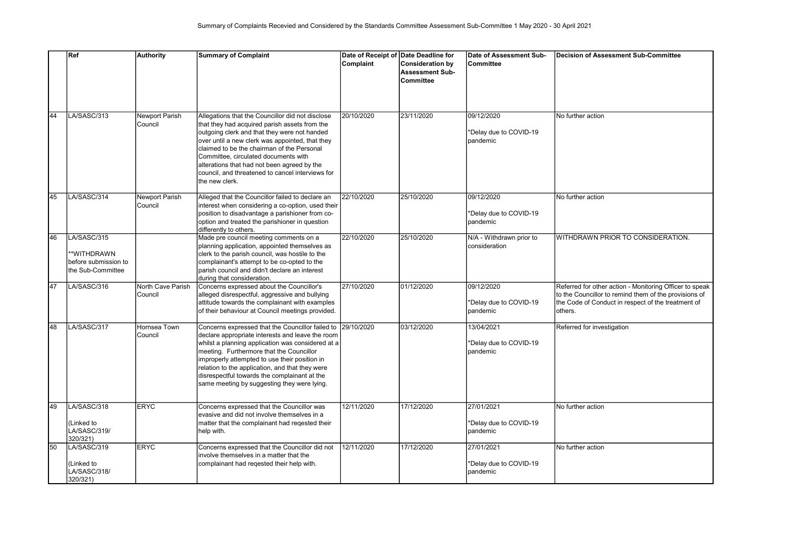|    | Ref                                                                    | <b>Authority</b>                 | <b>Summary of Complaint</b>                                                                                                                                                                                                                                                                                                                                                                                         | Date of Receipt of Date Deadline for<br>Complaint | <b>Consideration by</b><br><b>Assessment Sub-</b><br><b>Committee</b> | Date of Assessment Sub-<br>lCommittee            | Decision of Assessment Sub-Committee                                                                                                                                              |
|----|------------------------------------------------------------------------|----------------------------------|---------------------------------------------------------------------------------------------------------------------------------------------------------------------------------------------------------------------------------------------------------------------------------------------------------------------------------------------------------------------------------------------------------------------|---------------------------------------------------|-----------------------------------------------------------------------|--------------------------------------------------|-----------------------------------------------------------------------------------------------------------------------------------------------------------------------------------|
| 44 | LA/SASC/313                                                            | Newport Parish<br>Council        | Allegations that the Councillor did not disclose<br>that they had acquired parish assets from the<br>outgoing clerk and that they were not handed<br>over until a new clerk was appointed, that they<br>claimed to be the chairman of the Personal<br>Committee, circulated documents with<br>alterations that had not been agreed by the<br>council, and threatened to cancel interviews for<br>the new clerk.     | 20/10/2020                                        | 23/11/2020                                                            | 09/12/2020<br>*Delay due to COVID-19<br>pandemic | No further action                                                                                                                                                                 |
| 45 | LA/SASC/314                                                            | <b>Newport Parish</b><br>Council | Alleged that the Councillor failed to declare an<br>interest when considering a co-option, used their<br>position to disadvantage a parishioner from co-<br>option and treated the parishioner in question<br>differently to others.                                                                                                                                                                                | 22/10/2020                                        | 25/10/2020                                                            | 09/12/2020<br>*Delay due to COVID-19<br>pandemic | No further action                                                                                                                                                                 |
| 46 | LA/SASC/315<br>*WITHDRAWN<br>before submission to<br>the Sub-Committee |                                  | Made pre council meeting comments on a<br>planning application, appointed themselves as<br>clerk to the parish council, was hostile to the<br>complainant's attempt to be co-opted to the<br>parish council and didn't declare an interest<br>during that consideration.                                                                                                                                            | 22/10/2020                                        | 25/10/2020                                                            | N/A - Withdrawn prior to<br>consideration        | WITHDRAWN PRIOR TO CONSIDERATION.                                                                                                                                                 |
| 47 | LA/SASC/316                                                            | North Cave Parish<br>Council     | Concerns expressed about the Councillor's<br>alleged disrespectful, aggressive and bullying<br>attitude towards the complainant with examples<br>of their behaviour at Council meetings provided.                                                                                                                                                                                                                   | 27/10/2020                                        | 01/12/2020                                                            | 09/12/2020<br>*Delay due to COVID-19<br>pandemic | Referred for other action - Monitoring Officer to speak<br>to the Councillor to remind them of the provisions of<br>the Code of Conduct in respect of the treatment of<br>others. |
| 48 | LA/SASC/317                                                            | Hornsea Town<br>Council          | Concerns expressed that the Councillor failed to 29/10/2020<br>declare appropriate interests and leave the room<br>whilst a planning application was considered at a<br>meeting. Furthermore that the Councillor<br>improperly attempted to use their position in<br>relation to the application, and that they were<br>disrespectful towards the complainant at the<br>same meeting by suggesting they were lying. |                                                   | 03/12/2020                                                            | 13/04/2021<br>*Delay due to COVID-19<br>pandemic | Referred for investigation                                                                                                                                                        |
| 49 | LA/SASC/318<br>(Linked to<br>LA/SASC/319/<br>320/321)                  | <b>ERYC</b>                      | Concerns expressed that the Councillor was<br>evasive and did not involve themselves in a<br>matter that the complainant had regested their<br>help with.                                                                                                                                                                                                                                                           | 12/11/2020                                        | 17/12/2020                                                            | 27/01/2021<br>*Delay due to COVID-19<br>pandemic | No further action                                                                                                                                                                 |
| 50 | LA/SASC/319<br>Linked to<br>LA/SASC/318/<br>320/321)                   | <b>ERYC</b>                      | Concerns expressed that the Councillor did not<br>involve themselves in a matter that the<br>complainant had regested their help with.                                                                                                                                                                                                                                                                              | 12/11/2020                                        | 17/12/2020                                                            | 27/01/2021<br>*Delay due to COVID-19<br>pandemic | No further action                                                                                                                                                                 |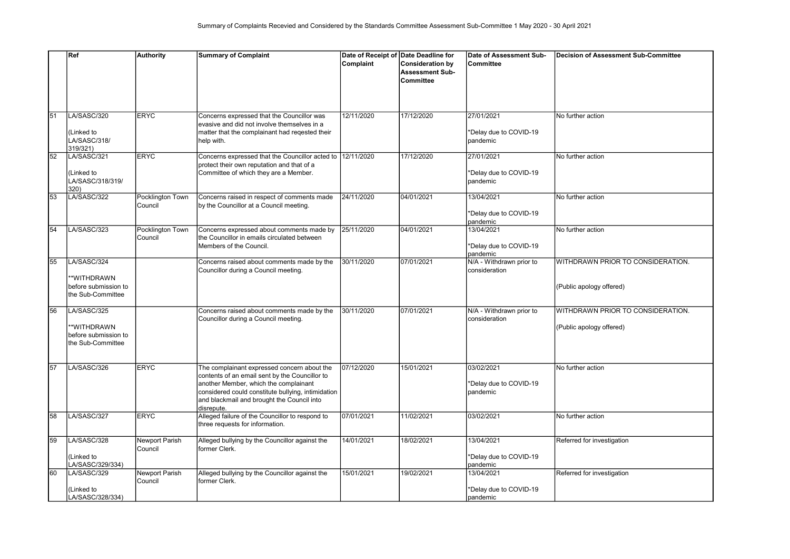|    | Ref                                                                    | <b>Authority</b>            | <b>Summary of Complaint</b>                                                                                                                                                                                                                              | Date of Receipt of Date Deadline for<br>Complaint | <b>Consideration by</b><br><b>Assessment Sub-</b><br><b>Committee</b> | Date of Assessment Sub-<br>lCommittee            | Decision of Assessment Sub-Committee                          |
|----|------------------------------------------------------------------------|-----------------------------|----------------------------------------------------------------------------------------------------------------------------------------------------------------------------------------------------------------------------------------------------------|---------------------------------------------------|-----------------------------------------------------------------------|--------------------------------------------------|---------------------------------------------------------------|
| 51 | LA/SASC/320<br>(Linked to<br>LA/SASC/318/<br>319/321)                  | <b>ERYC</b>                 | Concerns expressed that the Councillor was<br>evasive and did not involve themselves in a<br>matter that the complainant had regested their<br>help with.                                                                                                | 12/11/2020                                        | 17/12/2020                                                            | 27/01/2021<br>*Delay due to COVID-19<br>pandemic | No further action                                             |
| 52 | LA/SASC/321<br>(Linked to<br>LA/SASC/318/319/<br>320)                  | <b>ERYC</b>                 | Concerns expressed that the Councillor acted to<br>protect their own reputation and that of a<br>Committee of which they are a Member.                                                                                                                   | 12/11/2020                                        | 17/12/2020                                                            | 27/01/2021<br>*Delay due to COVID-19<br>pandemic | No further action                                             |
| 53 | LA/SASC/322                                                            | Pocklington Town<br>Council | Concerns raised in respect of comments made<br>by the Councillor at a Council meeting.                                                                                                                                                                   | 24/11/2020                                        | 04/01/2021                                                            | 13/04/2021<br>*Delay due to COVID-19<br>pandemic | No further action                                             |
| 54 | LA/SASC/323                                                            | Pocklington Town<br>Council | Concerns expressed about comments made by<br>the Councillor in emails circulated between<br>Members of the Council.                                                                                                                                      | 25/11/2020                                        | 04/01/2021                                                            | 13/04/2021<br>*Delay due to COVID-19<br>pandemic | No further action                                             |
| 55 | LA/SASC/324<br>*WITHDRAWN<br>before submission to<br>the Sub-Committee |                             | Concerns raised about comments made by the<br>Councillor during a Council meeting.                                                                                                                                                                       | 30/11/2020                                        | 07/01/2021                                                            | N/A - Withdrawn prior to<br>consideration        | WITHDRAWN PRIOR TO CONSIDERATION.<br>(Public apology offered) |
| 56 | LA/SASC/325<br>*WITHDRAWN<br>before submission to<br>the Sub-Committee |                             | Concerns raised about comments made by the<br>Councillor during a Council meeting.                                                                                                                                                                       | 30/11/2020                                        | 07/01/2021                                                            | N/A - Withdrawn prior to<br>consideration        | WITHDRAWN PRIOR TO CONSIDERATION.<br>(Public apology offered) |
| 57 | LA/SASC/326                                                            | <b>ERYC</b>                 | The complainant expressed concern about the<br>contents of an email sent by the Councillor to<br>another Member, which the complainant<br>considered could constitute bullying, intimidation<br>and blackmail and brought the Council into<br>disrepute. | 07/12/2020                                        | 15/01/2021                                                            | 03/02/2021<br>*Delay due to COVID-19<br>pandemic | No further action                                             |
| 58 | LA/SASC/327                                                            | <b>ERYC</b>                 | Alleged failure of the Councillor to respond to<br>three requests for information.                                                                                                                                                                       | 07/01/2021                                        | 11/02/2021                                                            | 03/02/2021                                       | No further action                                             |
| 59 | LA/SASC/328<br>(Linked to<br>LA/SASC/329/334)                          | Newport Parish<br>Council   | Alleged bullying by the Councillor against the<br>former Clerk.                                                                                                                                                                                          | 14/01/2021                                        | 18/02/2021                                                            | 13/04/2021<br>*Delay due to COVID-19<br>pandemic | Referred for investigation                                    |
| 60 | LA/SASC/329<br>(Linked to<br>LA/SASC/328/334)                          | Newport Parish<br>Council   | Alleged bullying by the Councillor against the<br>former Clerk.                                                                                                                                                                                          | 15/01/2021                                        | 19/02/2021                                                            | 13/04/2021<br>*Delay due to COVID-19<br>pandemic | Referred for investigation                                    |